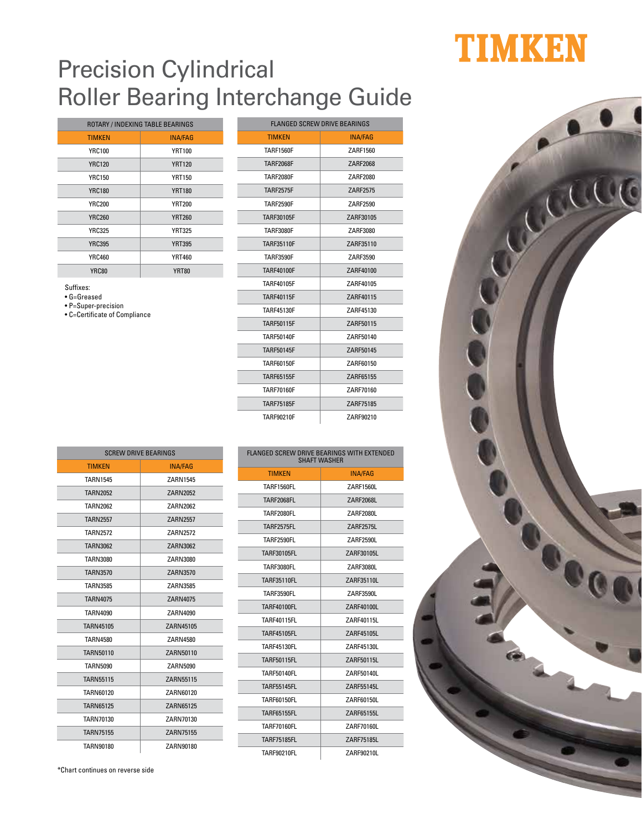## Precision Cylindrical Roller Bearing Interchange Guide

| ROTARY / INDEXING TABLE BEARINGS |                |
|----------------------------------|----------------|
| <b>TIMKEN</b>                    | <b>INA/FAG</b> |
| <b>YRC100</b>                    | <b>YRT100</b>  |
| <b>YRC120</b>                    | <b>YRT120</b>  |
| YRC150                           | <b>YRT150</b>  |
| <b>YRC180</b>                    | <b>YRT180</b>  |
| <b>YRC200</b>                    | <b>YRT200</b>  |
| <b>YRC260</b>                    | <b>YRT260</b>  |
| <b>YRC325</b>                    | <b>YRT325</b>  |
| <b>YRC395</b>                    | <b>YRT395</b>  |
| <b>YRC460</b>                    | <b>YRT460</b>  |
| <b>YRC80</b>                     | <b>YRT80</b>   |

Suffixes:

• G=Greased

• P=Super-precision

• C=Certificate of Compliance

| <b>TIMKEN</b>     | <b>INA/FAG</b> |
|-------------------|----------------|
| <b>TARF1560F</b>  | ZARF1560       |
| <b>TARF2068F</b>  | ZARF2068       |
| <b>TARF2080F</b>  | ZARF2080       |
| <b>TARF2575F</b>  | ZARF2575       |
| <b>TARF2590F</b>  | 7ARF2590       |
| TARF30105F        | ZARF30105      |
| <b>TARF3080F</b>  | ZARF3080       |
| <b>TARF35110F</b> | ZARF35110      |
| <b>TARF3590F</b>  | ZARF3590       |
| <b>TARF40100F</b> | ZARF40100      |
| <b>TARF40105F</b> | ZARF40105      |
| <b>TARF40115F</b> | ZARF40115      |
| <b>TARF45130F</b> | ZARF45130      |
| <b>TARF50115F</b> | ZARF50115      |
| <b>TARF50140F</b> | ZARF50140      |
| <b>TARF50145F</b> | ZARF50145      |
| TARF60150F        | ZARF60150      |
| <b>TARF65155F</b> | ZARF65155      |
| <b>TARF70160F</b> | ZARF70160      |
| <b>TARF75185F</b> | ZARF75185      |
| <b>TARF90210F</b> | ZARF90210      |

FLANGED SCREW DRIVE BEARINGS

| <b>SCREW DRIVE BEARINGS</b> |                 |  |
|-----------------------------|-----------------|--|
| <b>TIMKEN</b>               | <b>INA/FAG</b>  |  |
| <b>TARN1545</b>             | ZARN1545        |  |
| <b>TARN2052</b>             | ZARN2052        |  |
| <b>TARN2062</b>             | ZARN2062        |  |
| <b>TARN2557</b>             | <b>ZARN2557</b> |  |
| <b>TARN2572</b>             | <b>ZARN2572</b> |  |
| <b>TARN3062</b>             | ZARN3062        |  |
| <b>TARN3080</b>             | ZARN3080        |  |
| <b>TARN3570</b>             | ZARN3570        |  |
| <b>TARN3585</b>             | ZARN3585        |  |
| <b>TARN4075</b>             | <b>ZARN4075</b> |  |
| <b>TARN4090</b>             | ZARN4090        |  |
| TARN45105                   | ZARN45105       |  |
| <b>TARN4580</b>             | ZARN4580        |  |
| TARN50110                   | ZARN50110       |  |
| <b>TARN5090</b>             | ZARN5090        |  |
| <b>TARN55115</b>            | ZARN55115       |  |
| <b>TARN60120</b>            | ZARN60120       |  |
| <b>TARN65125</b>            | ZARN65125       |  |
| TARN70130                   | ZARN70130       |  |
| <b>TARN75155</b>            | ZARN75155       |  |
| <b>TARN90180</b>            | ZARN90180       |  |

| <b>SHAFT WASHER</b> |                |  |
|---------------------|----------------|--|
| <b>TIMKEN</b>       | <b>INA/FAG</b> |  |
| <b>TARF1560FL</b>   | ZARF1560L      |  |
| <b>TARF2068FL</b>   | ZARF2068L      |  |
| <b>TARF2080FL</b>   | ZARF2080L      |  |
| <b>TARF2575FL</b>   | ZARF2575L      |  |
| <b>TARF2590FL</b>   | ZARF2590L      |  |
| TARF30105FL         | ZARF30105L     |  |
| <b>TARF3080FL</b>   | ZARF3080L      |  |
| <b>TARF35110FL</b>  | ZARF35110L     |  |
| <b>TARF3590FL</b>   | ZARF3590L      |  |
| <b>TARF40100FL</b>  | ZARF40100L     |  |
| <b>TARF40115FL</b>  | ZARF40115L     |  |
| <b>TARF45105FL</b>  | ZARF45105L     |  |
| <b>TARF45130FL</b>  | ZARF45130L     |  |
| <b>TARF50115FL</b>  | ZARF50115L     |  |
| <b>TARF50140FL</b>  | ZARF50140L     |  |
| <b>TARF55145FL</b>  | ZARF55145L     |  |
| TARF60150FL         | ZARF60150L     |  |
| <b>TARF65155FL</b>  | ZARF65155L     |  |
| <b>TARF70160FL</b>  | ZARF70160L     |  |
| <b>TARF75185FL</b>  | ZARF75185L     |  |
| <b>TARF90210FL</b>  | ZARF90210L     |  |

FLANGED SCREW DRIVE BEARINGS WITH EXTENDED

## TIMKEN



\*Chart continues on reverse side